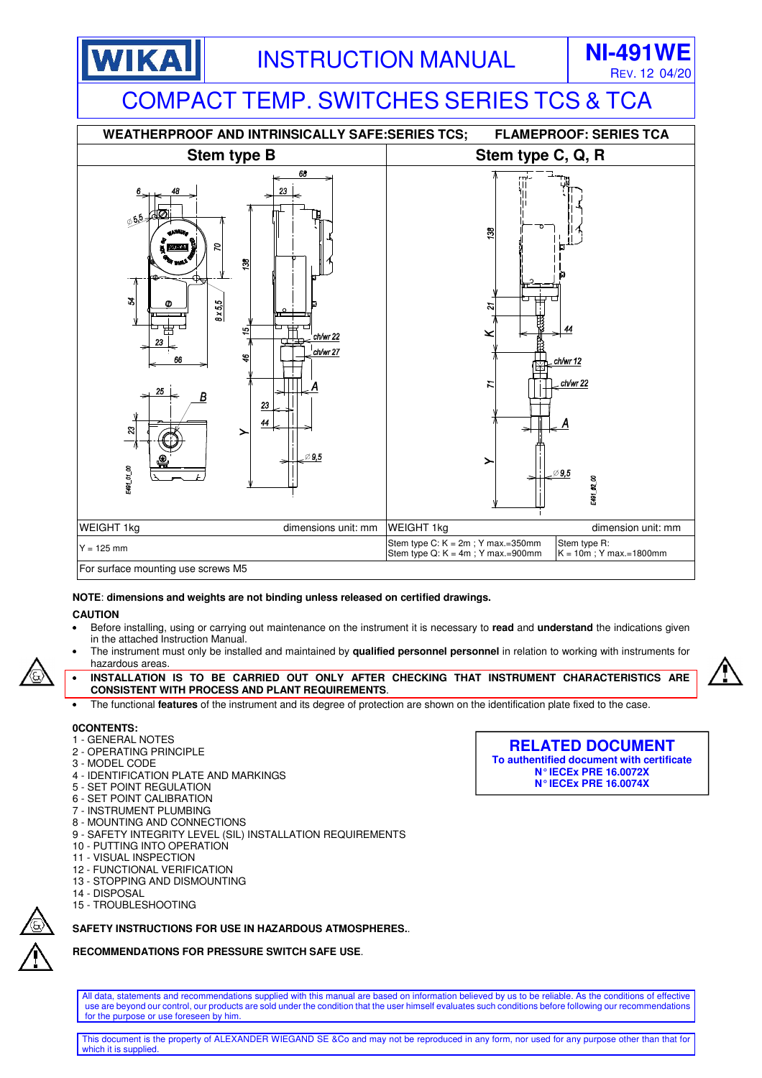



#### **NOTE**: **dimensions and weights are not binding unless released on certified drawings.**

#### **CAUTION**

- Before installing, using or carrying out maintenance on the instrument it is necessary to **read** and **understand** the indications given in the attached Instruction Manual.
- The instrument must only be installed and maintained by **qualified personnel personnel** in relation to working with instruments for hazardous areas.
- **INSTALLATION IS TO BE CARRIED OUT ONLY AFTER CHECKING THAT INSTRUMENT CHARACTERISTICS ARE CONSISTENT WITH PROCESS AND PLANT REQUIREMENTS**.
- The functional **features** of the instrument and its degree of protection are shown on the identification plate fixed to the case.

## **0CONTENTS:**

- 1 GENERAL NOTES
- 2 OPERATING PRINCIPLE
- 3 MODEL CODE
- 4 IDENTIFICATION PLATE AND MARKINGS
- 5 SET POINT REGULATION
- 6 SET POINT CALIBRATION
- 7 INSTRUMENT PLUMBING
- 8 MOUNTING AND CONNECTIONS
- 9 SAFETY INTEGRITY LEVEL (SIL) INSTALLATION REQUIREMENTS 10 - PUTTING INTO OPERATION
- 
- 11 VISUAL INSPECTION
- 12 FUNCTIONAL VERIFICATION 13 - STOPPING AND DISMOUNTING
- 14 DISPOSAL
- 15 TROUBLESHOOTING

## **SAFETY INSTRUCTIONS FOR USE IN HAZARDOUS ATMOSPHERES.**.

## **RECOMMENDATIONS FOR PRESSURE SWITCH SAFE USE**.

All data, statements and recommendations supplied with this manual are based on information believed by us to be reliable. As the conditions of effective use are beyond our control, our products are sold under the condition that the user himself evaluates such conditions before following our recommendations for the purpose or use foreseen by him.

**RELATED DOCUMENT To authentified document with certificate N° IECEx PRE 16.0072X N° IECEx PRE 16.0074X** 

This document is the property of ALEXANDER WIEGAND SE &Co and may not be reproduced in any form, nor used for any purpose other than that for which it is supplie

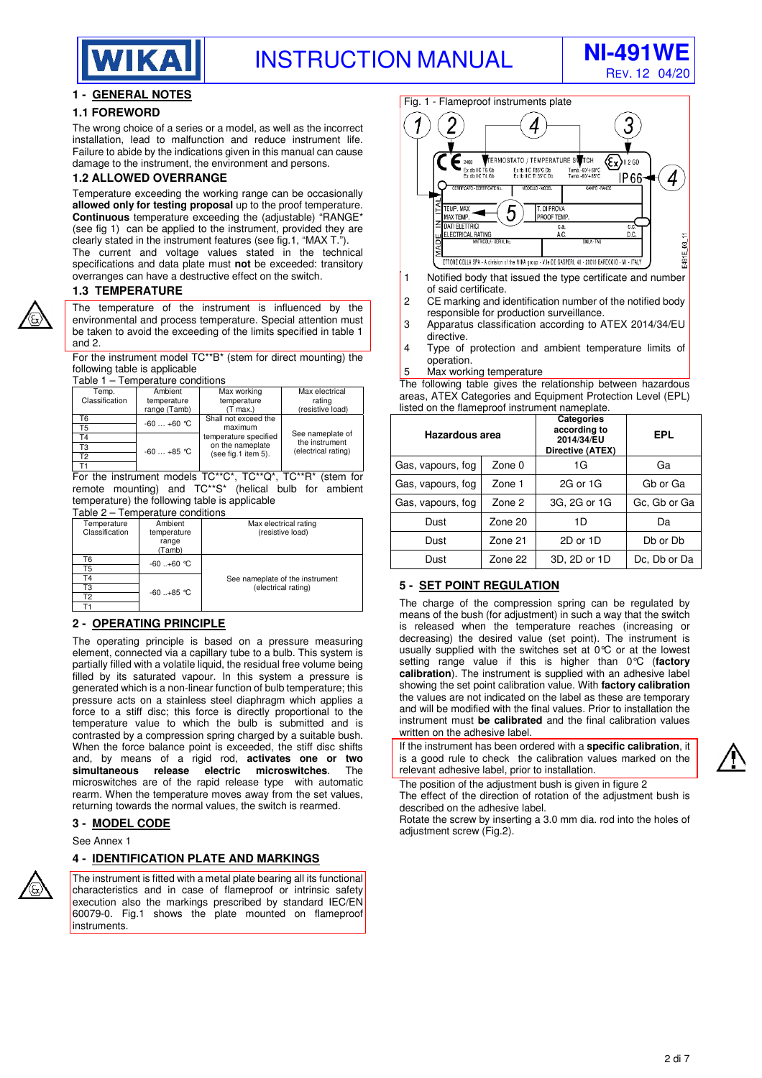



## **1 - GENERAL NOTES**

## **1.1 FOREWORD**

The wrong choice of a series or a model, as well as the incorrect installation, lead to malfunction and reduce instrument life. Failure to abide by the indications given in this manual can cause damage to the instrument, the environment and persons.

#### **1.2 ALLOWED OVERRANGE**

Temperature exceeding the working range can be occasionally **allowed only for testing proposal** up to the proof temperature. **Continuous** temperature exceeding the (adjustable) "RANGE\* (see fig 1) can be applied to the instrument, provided they are clearly stated in the instrument features (see fig.1, "MAX T.").

The current and voltage values stated in the technical specifications and data plate must **not** be exceeded: transitory overranges can have a destructive effect on the switch.

#### **1.3 TEMPERATURE**

The temperature of the instrument is influenced by the environmental and process temperature. Special attention must be taken to avoid the exceeding of the limits specified in table 1 and 2.

For the instrument model TC\*\*B\* (stem for direct mounting) the following table is applicable

Table 1 – Temperature conditions

| Temp.<br>Classification | Ambient<br>temperature<br>range (Tamb) | Max working<br>temperature<br>$(T \max)$ | Max electrical<br>rating<br>(resistive load) |
|-------------------------|----------------------------------------|------------------------------------------|----------------------------------------------|
| Г6                      | $-60+60$ °C                            | Shall not exceed the                     |                                              |
| Г5                      |                                        | maximum                                  |                                              |
|                         |                                        | temperature specified                    | See nameplate of<br>the instrument           |
| ΓЗ                      | $-60+85$ °C                            | on the nameplate<br>(see fig.1 item 5).  | (electrical rating)                          |
| T2                      |                                        |                                          |                                              |
|                         |                                        |                                          |                                              |

For the instrument models TC\*\*C\*, TC\*\*Q\*, TC\*\*R\* (stem for remote mounting) and TC\*\*S\* (helical bulb for ambient temperature) the following table is applicable

#### Table 2 – Temperature conditions

| Temperature    | Ambient     | Max electrical rating           |  |  |  |
|----------------|-------------|---------------------------------|--|--|--|
| Classification | temperature | (resistive load)                |  |  |  |
|                | range       |                                 |  |  |  |
|                | (Tamb)      |                                 |  |  |  |
| Т6             | $-60+60$ °C |                                 |  |  |  |
| Τ5             |             |                                 |  |  |  |
| T4             |             | See nameplate of the instrument |  |  |  |
| TЗ             | $-60+85$ °C | (electrical rating)             |  |  |  |
| Т2             |             |                                 |  |  |  |
|                |             |                                 |  |  |  |

#### **2 - OPERATING PRINCIPLE**

The operating principle is based on a pressure measuring element, connected via a capillary tube to a bulb. This system is partially filled with a volatile liquid, the residual free volume being filled by its saturated vapour. In this system a pressure is generated which is a non-linear function of bulb temperature; this pressure acts on a stainless steel diaphragm which applies a force to a stiff disc; this force is directly proportional to the temperature value to which the bulb is submitted and is contrasted by a compression spring charged by a suitable bush. When the force balance point is exceeded, the stiff disc shifts and, by means of a rigid rod, **activates one or two simultaneous release electric microswitches**. The microswitches are of the rapid release type with automatic rearm. When the temperature moves away from the set values, returning towards the normal values, the switch is rearmed.

#### **3 - MODEL CODE**

See Annex 1

## **4 - IDENTIFICATION PLATE AND MARKINGS**

The instrument is fitted with a metal plate bearing all its functional characteristics and in case of flameproof or intrinsic safety execution also the markings prescribed by standard IEC/EN 60079-0. Fig.1 shows the plate mounted on flameproof **linstruments** 



- 1 Notified body that issued the type certificate and number of said certificate.
- 2 CE marking and identification number of the notified body
- responsible for production surveillance. 3 Apparatus classification according to ATEX 2014/34/EU directive.
- 4 Type of protection and ambient temperature limits of operation.
- 5 Max working temperature

The following table gives the relationship between hazardous areas, ATEX Categories and Equipment Protection Level (EPL) listed on the flameproof instrument nameplate.

| <b>Hazardous area</b> |         | <b>Categories</b><br>according to<br>2014/34/EU<br>Directive (ATEX) | EPL          |
|-----------------------|---------|---------------------------------------------------------------------|--------------|
| Gas, vapours, fog     | Zone 0  | 1G                                                                  | Ga           |
| Gas, vapours, fog     | Zone 1  | 2G or 1G                                                            | Gb or Ga     |
| Gas, vapours, fog     | Zone 2  | 3G, 2G or 1G                                                        | Gc, Gb or Ga |
| Dust                  | Zone 20 | 1D                                                                  | Da           |
| Dust                  | Zone 21 | 2D or 1D                                                            | Db or Db     |
| Dust                  | Zone 22 | 3D, 2D or 1D                                                        | Dc. Db or Da |

## **5 - SET POINT REGULATION**

The charge of the compression spring can be regulated by means of the bush (for adjustment) in such a way that the switch is released when the temperature reaches (increasing or decreasing) the desired value (set point). The instrument is usually supplied with the switches set at 0°C or at the lowest setting range value if this is higher than 0°C (**factory calibration**). The instrument is supplied with an adhesive label showing the set point calibration value. With **factory calibration**  the values are not indicated on the label as these are temporary and will be modified with the final values. Prior to installation the instrument must **be calibrated** and the final calibration values written on the adhesive label.

If the instrument has been ordered with a **specific calibration**, it is a good rule to check the calibration values marked on the relevant adhesive label, prior to installation.



The position of the adjustment bush is given in figure 2 The effect of the direction of rotation of the adjustment bush is described on the adhesive label.

Rotate the screw by inserting a 3.0 mm dia. rod into the holes of adjustment screw (Fig.2).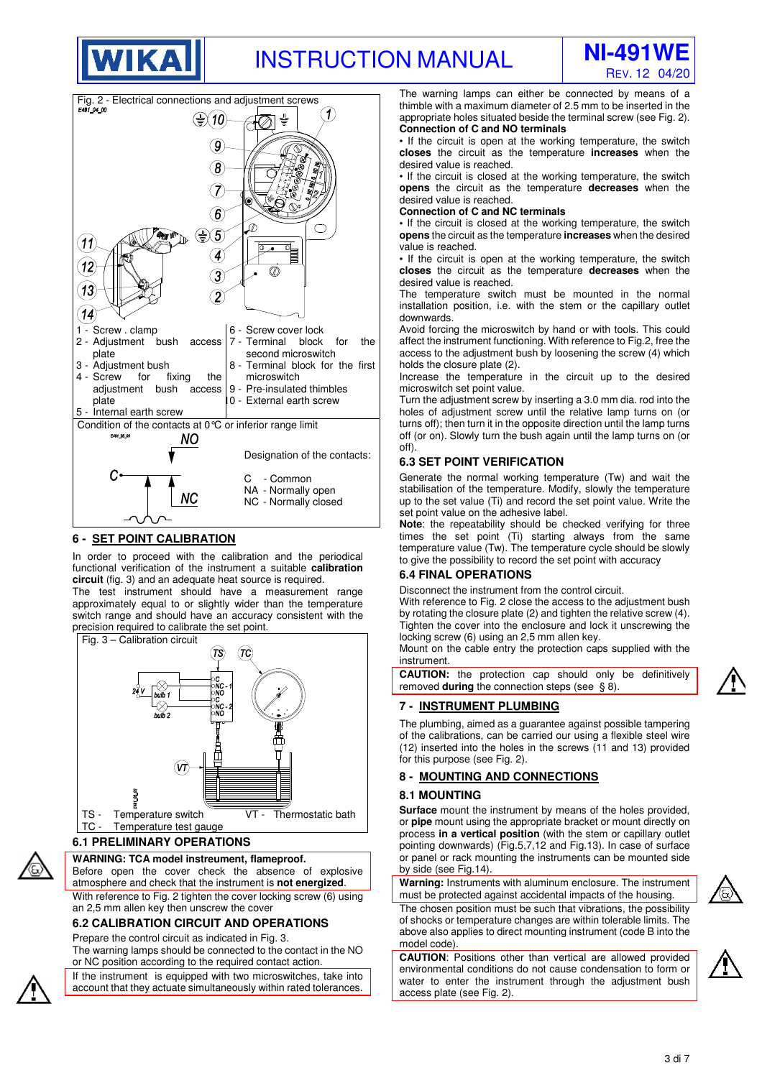





## **6 - SET POINT CALIBRATION**

In order to proceed with the calibration and the periodical functional verification of the instrument a suitable **calibration circuit** (fig. 3) and an adequate heat source is required.

The test instrument should have a measurement range approximately equal to or slightly wider than the temperature switch range and should have an accuracy consistent with the precision required to calibrate the set point.



# **6.1 PRELIMINARY OPERATIONS**

## **WARNING: TCA model instreument, flameproof.**

Before open the cover check the absence of explosive atmosphere and check that the instrument is **not energized**.

With reference to Fig. 2 tighten the cover locking screw (6) using an 2,5 mm allen key then unscrew the cover

## **6.2 CALIBRATION CIRCUIT AND OPERATIONS**

Prepare the control circuit as indicated in Fig. 3.

The warning lamps should be connected to the contact in the NO or NC position according to the required contact action.

If the instrument is equipped with two microswitches, take into account that they actuate simultaneously within rated tolerances.

The warning lamps can either be connected by means of a thimble with a maximum diameter of 2.5 mm to be inserted in the appropriate holes situated beside the terminal screw (see Fig. 2). **Connection of C and NO terminals** 

• If the circuit is open at the working temperature, the switch **closes** the circuit as the temperature **increases** when the desired value is reached.

• If the circuit is closed at the working temperature, the switch **opens** the circuit as the temperature **decreases** when the desired value is reached.

**Connection of C and NC terminals** 

**•** If the circuit is closed at the working temperature, the switch **opens** the circuit as the temperature **increases** when the desired value is reached.

• If the circuit is open at the working temperature, the switch **closes** the circuit as the temperature **decreases** when the desired value is reached.

The temperature switch must be mounted in the normal installation position, i.e. with the stem or the capillary outlet downwards.

Avoid forcing the microswitch by hand or with tools. This could affect the instrument functioning. With reference to Fig.2, free the access to the adjustment bush by loosening the screw (4) which holds the closure plate (2).

Increase the temperature in the circuit up to the desired microswitch set point value.

Turn the adjustment screw by inserting a 3.0 mm dia. rod into the holes of adjustment screw until the relative lamp turns on (or turns off); then turn it in the opposite direction until the lamp turns off (or on). Slowly turn the bush again until the lamp turns on (or off).

#### **6.3 SET POINT VERIFICATION**

Generate the normal working temperature (Tw) and wait the stabilisation of the temperature. Modify, slowly the temperature up to the set value (Ti) and record the set point value. Write the set point value on the adhesive label.

**Note**: the repeatability should be checked verifying for three times the set point (Ti) starting always from the same temperature value (Tw). The temperature cycle should be slowly to give the possibility to record the set point with accuracy

## **6.4 FINAL OPERATIONS**

Disconnect the instrument from the control circuit.

With reference to Fig. 2 close the access to the adjustment bush by rotating the closure plate (2) and tighten the relative screw (4). Tighten the cover into the enclosure and lock it unscrewing the locking screw (6) using an 2,5 mm allen key.

Mount on the cable entry the protection caps supplied with the instrument.

**CAUTION:** the protection cap should only be definitively removed **during** the connection steps (see § 8).

## **7 - INSTRUMENT PLUMBING**

The plumbing, aimed as a guarantee against possible tampering of the calibrations, can be carried our using a flexible steel wire (12) inserted into the holes in the screws (11 and 13) provided for this purpose (see Fig. 2).

## **8 - MOUNTING AND CONNECTIONS**

#### **8.1 MOUNTING**

**Surface** mount the instrument by means of the holes provided, or **pipe** mount using the appropriate bracket or mount directly on process **in a vertical position** (with the stem or capillary outlet pointing downwards) (Fig.5,7,12 and Fig.13). In case of surface or panel or rack mounting the instruments can be mounted side by side (see Fig.14).

**Warning:** Instruments with aluminum enclosure. The instrument must be protected against accidental impacts of the housing. The chosen position must be such that vibrations, the possibility of shocks or temperature changes are within tolerable limits. The

above also applies to direct mounting instrument (code B into the model code). **CAUTION**: Positions other than vertical are allowed provided

environmental conditions do not cause condensation to form or water to enter the instrument through the adjustment bush access plate (see Fig. 2).



3 di 7

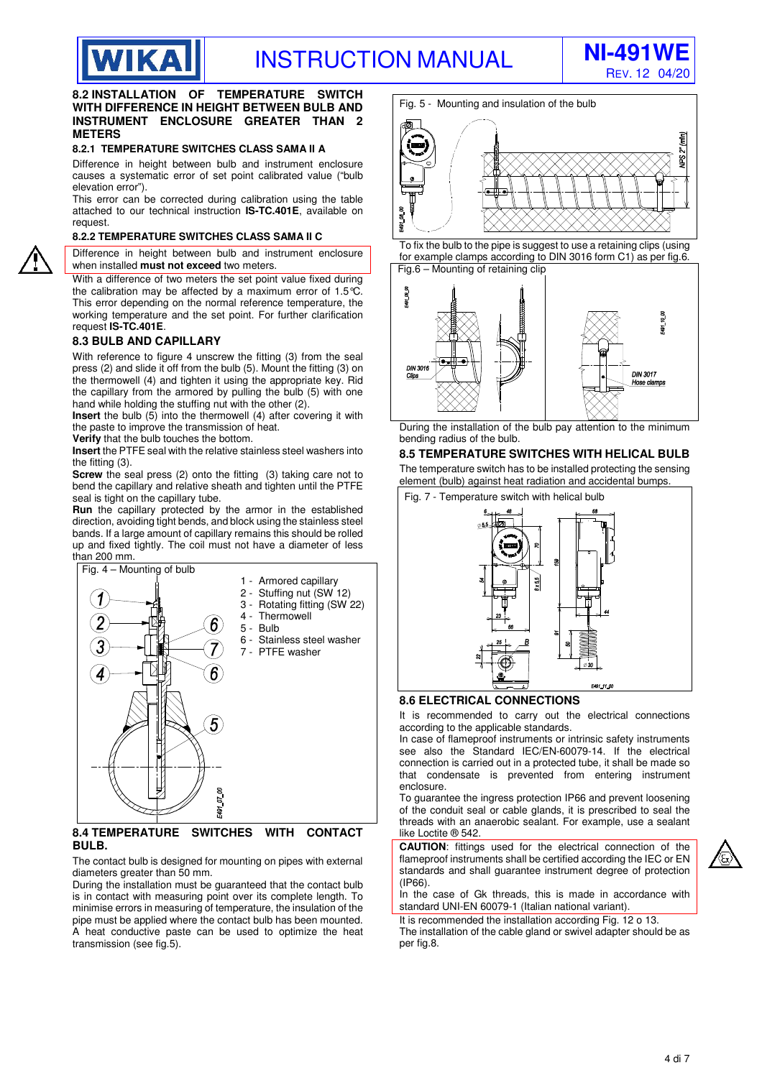

#### **8.2 INSTALLATION OF TEMPERATURE SWITCH WITH DIFFERENCE IN HEIGHT BETWEEN BULB AND INSTRUMENT ENCLOSURE GREATER THAN 2 METERS**

#### **8.2.1 TEMPERATURE SWITCHES CLASS SAMA II A**

Difference in height between bulb and instrument enclosure causes a systematic error of set point calibrated value ("bulb elevation error").

This error can be corrected during calibration using the table attached to our technical instruction **IS-TC.401E**, available on request.

#### **8.2.2 TEMPERATURE SWITCHES CLASS SAMA II C**

Difference in height between bulb and instrument enclosure when installed **must not exceed** two meters.

With a difference of two meters the set point value fixed during the calibration may be affected by a maximum error of 1.5 $\tilde{\mathcal{C}}$ . This error depending on the normal reference temperature, the working temperature and the set point. For further clarification request **IS-TC.401E**.

#### **8.3 BULB AND CAPILLARY**

**WIKA** 

With reference to figure 4 unscrew the fitting (3) from the seal press (2) and slide it off from the bulb (5). Mount the fitting (3) on the thermowell (4) and tighten it using the appropriate key. Rid the capillary from the armored by pulling the bulb (5) with one hand while holding the stuffing nut with the other (2).

**Insert** the bulb (5) into the thermowell (4) after covering it with the paste to improve the transmission of heat.

**Verify** that the bulb touches the bottom.

**Insert** the PTFE seal with the relative stainless steel washers into the fitting (3).

**Screw** the seal press (2) onto the fitting (3) taking care not to bend the capillary and relative sheath and tighten until the PTFE seal is tight on the capillary tube.

**Run** the capillary protected by the armor in the established direction, avoiding tight bends, and block using the stainless steel bands. If a large amount of capillary remains this should be rolled up and fixed tightly. The coil must not have a diameter of less than 200 mm.



#### **8.4 TEMPERATURE SWITCHES WITH CONTACT BULB.**

The contact bulb is designed for mounting on pipes with external diameters greater than 50 mm.

During the installation must be guaranteed that the contact bulb is in contact with measuring point over its complete length. To minimise errors in measuring of temperature, the insulation of the pipe must be applied where the contact bulb has been mounted. A heat conductive paste can be used to optimize the heat transmission (see fig.5).

Fig. 5 - Mounting and insulation of the bulb



To fix the bulb to the pipe is suggest to use a retaining clips (using for example clamps according to DIN 3016 form C1) as per fig.6. Fig.6 – Mounting of retaining clip



During the installation of the bulb pay attention to the minimum bending radius of the bulb.

#### **8.5 TEMPERATURE SWITCHES WITH HELICAL BULB**

The temperature switch has to be installed protecting the sensing element (bulb) against heat radiation and accidental bumps.



#### **8.6 ELECTRICAL CONNECTIONS**

It is recommended to carry out the electrical connections according to the applicable standards.

In case of flameproof instruments or intrinsic safety instruments see also the Standard IEC/EN-60079-14. If the electrical connection is carried out in a protected tube, it shall be made so that condensate is prevented from entering instrument enclosure.

To guarantee the ingress protection IP66 and prevent loosening of the conduit seal or cable glands, it is prescribed to seal the threads with an anaerobic sealant. For example, use a sealant like Loctite ® 542.

**CAUTION**: fittings used for the electrical connection of the flameproof instruments shall be certified according the IEC or EN standards and shall guarantee instrument degree of protection (IP66).



In the case of Gk threads, this is made in accordance with standard UNI-EN 60079-1 (Italian national variant).

It is recommended the installation according Fig. 12 o 13.

The installation of the cable gland or swivel adapter should be as per fig.8.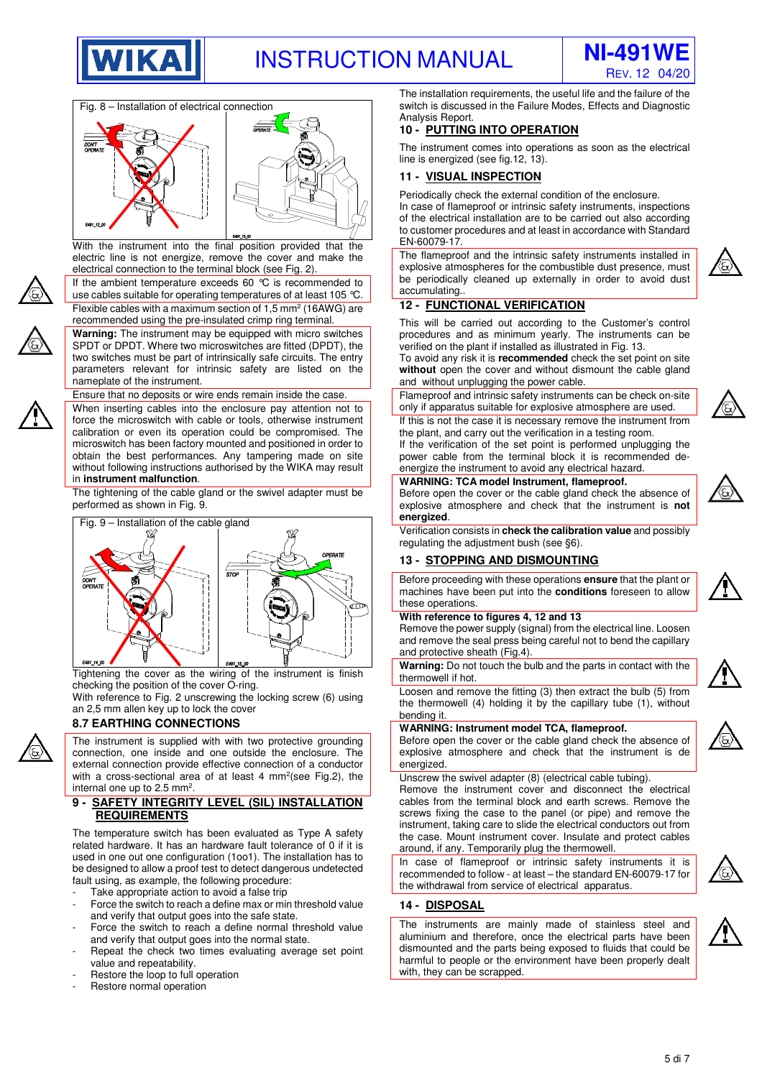





With the instrument into the final position provided that the electric line is not energize, remove the cover and make the electrical connection to the terminal block (see Fig. 2).



If the ambient temperature exceeds 60 °C is recommended to use cables suitable for operating temperatures of at least 105 °C. Flexible cables with a maximum section of  $1,5$  mm<sup>2</sup> (16AWG) are recommended using the pre-insulated crimp ring terminal.



**Warning:** The instrument may be equipped with micro switches SPDT or DPDT. Where two microswitches are fitted (DPDT), the two switches must be part of intrinsically safe circuits. The entry parameters relevant for intrinsic safety are listed on the nameplate of the instrument.

Ensure that no deposits or wire ends remain inside the case.

When inserting cables into the enclosure pay attention not to force the microswitch with cable or tools, otherwise instrument calibration or even its operation could be compromised. The microswitch has been factory mounted and positioned in order to obtain the best performances. Any tampering made on site without following instructions authorised by the WIKA may result in **instrument malfunction**.

The tightening of the cable gland or the swivel adapter must be performed as shown in Fig. 9.



Tightening the cover as the wiring of the instrument is finish checking the position of the cover O-ring.

With reference to Fig. 2 unscrewing the locking screw (6) using an 2,5 mm allen key up to lock the cover

# **8.7 EARTHING CONNECTIONS**

The instrument is supplied with with two protective grounding connection, one inside and one outside the enclosure. The external connection provide effective connection of a conductor with a cross-sectional area of at least 4  $mm<sup>2</sup>$ (see Fig.2), the internal one up to 2.5 mm<sup>2</sup>.

## **9 - SAFETY INTEGRITY LEVEL (SIL) INSTALLATION REQUIREMENTS**

The temperature switch has been evaluated as Type A safety related hardware. It has an hardware fault tolerance of 0 if it is used in one out one configuration (1oo1). The installation has to be designed to allow a proof test to detect dangerous undetected fault using, as example, the following procedure:

- Take appropriate action to avoid a false trip
- Force the switch to reach a define max or min threshold value and verify that output goes into the safe state.
- Force the switch to reach a define normal threshold value and verify that output goes into the normal state.
- Repeat the check two times evaluating average set point value and repeatability.
- Restore the loop to full operation
- Restore normal operation

The installation requirements, the useful life and the failure of the switch is discussed in the Failure Modes, Effects and Diagnostic Analysis Report.

# **10 - PUTTING INTO OPERATION**

The instrument comes into operations as soon as the electrical line is energized (see fig.12, 13).

## **11 - VISUAL INSPECTION**

Periodically check the external condition of the enclosure. In case of flameproof or intrinsic safety instruments, inspections of the electrical installation are to be carried out also according to customer procedures and at least in accordance with Standard EN-60079-17.

The flameproof and the intrinsic safety instruments installed in explosive atmospheres for the combustible dust presence, must be periodically cleaned up externally in order to avoid dust accumulating..

## **12 - FUNCTIONAL VERIFICATION**

This will be carried out according to the Customer's control procedures and as minimum yearly. The instruments can be verified on the plant if installed as illustrated in Fig. 13.

To avoid any risk it is **recommended** check the set point on site **without** open the cover and without dismount the cable gland and without unplugging the power cable.

Flameproof and intrinsic safety instruments can be check on-site only if apparatus suitable for explosive atmosphere are used. If this is not the case it is necessary remove the instrument from the plant, and carry out the verification in a testing room.

If the verification of the set point is performed unplugging the power cable from the terminal block it is recommended deenergize the instrument to avoid any electrical hazard.

Before open the cover or the cable gland check the absence of

## **WARNING: TCA model Instrument, flameproof.**



explosive atmosphere and check that the instrument is **not energized**. Verification consists in **check the calibration value** and possibly regulating the adjustment bush (see §6).

## **13 - STOPPING AND DISMOUNTING**

Before proceeding with these operations **ensure** that the plant or machines have been put into the **conditions** foreseen to allow these operations.

#### **With reference to figures 4, 12 and 13**

Remove the power supply (signal) from the electrical line. Loosen and remove the seal press being careful not to bend the capillary and protective sheath (Fig.4). **Warning:** Do not touch the bulb and the parts in contact with the



Loosen and remove the fitting (3) then extract the bulb (5) from the thermowell (4) holding it by the capillary tube (1), without bending it.

#### **WARNING: Instrument model TCA, flameproof.**

Before open the cover or the cable gland check the absence of explosive atmosphere and check that the instrument is de energized.

Unscrew the swivel adapter (8) (electrical cable tubing).

Remove the instrument cover and disconnect the electrical cables from the terminal block and earth screws. Remove the screws fixing the case to the panel (or pipe) and remove the instrument, taking care to slide the electrical conductors out from the case. Mount instrument cover. Insulate and protect cables around, if any. Temporarily plug the thermowell.

In case of flameproof or intrinsic safety instruments it is recommended to follow - at least – the standard EN-60079-17 for the withdrawal from service of electrical apparatus.



## **14 - DISPOSAL**

thermowell if hot.

The instruments are mainly made of stainless steel and aluminium and therefore, once the electrical parts have been dismounted and the parts being exposed to fluids that could be harmful to people or the environment have been properly dealt with, they can be scrapped.

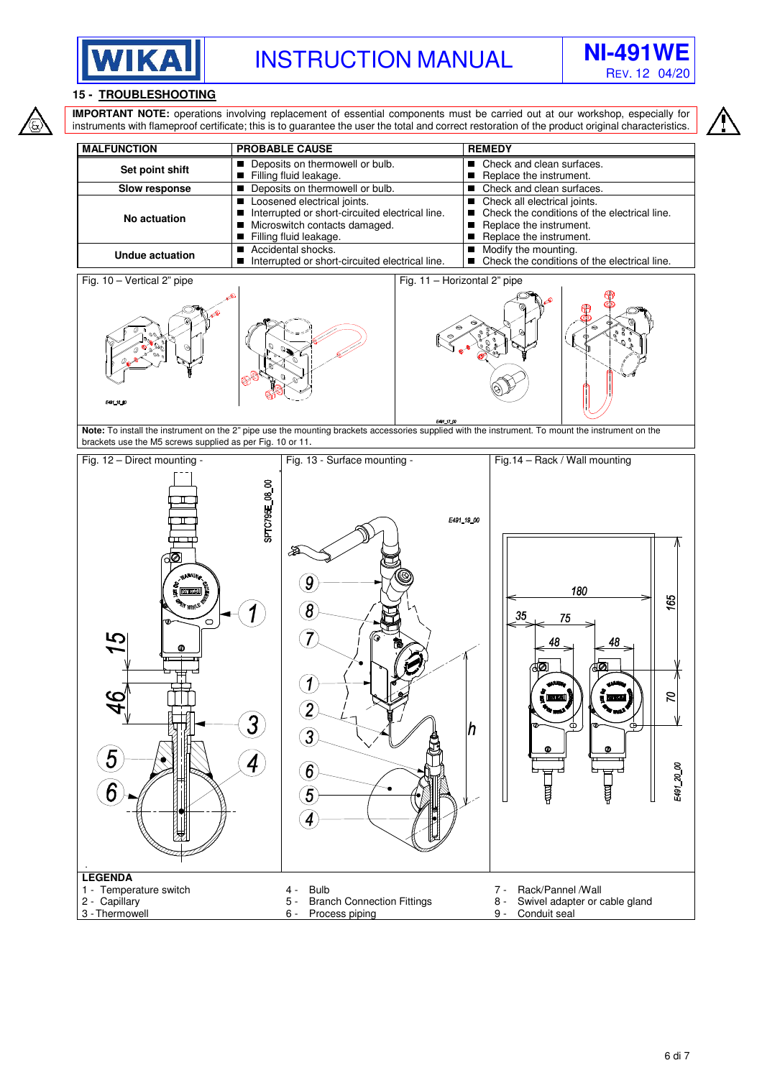



# **15 - TROUBLESHOOTING**



**IMPORTANT NOTE:** operations involving replacement of essential components must be carried out at our workshop, especially for instruments with flameproof certificate; this is to guarantee the user the total and correct restoration of the product original characteristics.

|                      |                                                                                                                                             | <b>REMEDY</b>                                                                                                                           |
|----------------------|---------------------------------------------------------------------------------------------------------------------------------------------|-----------------------------------------------------------------------------------------------------------------------------------------|
| Set point shift      | Deposits on thermowell or bulb.<br>Filling fluid leakage.                                                                                   | Check and clean surfaces.<br>Replace the instrument.                                                                                    |
| <b>Slow response</b> | Deposits on thermowell or bulb.                                                                                                             | Check and clean surfaces.                                                                                                               |
| No actuation         | Loosened electrical joints.<br>Interrupted or short-circuited electrical line.<br>■ Microswitch contacts damaged.<br>Filling fluid leakage. | Check all electrical joints.<br>Check the conditions of the electrical line.<br>П<br>Replace the instrument.<br>Replace the instrument. |
| Undue actuation      | ■ Accidental shocks.<br>Interrupted or short-circuited electrical line.                                                                     | Modify the mounting.<br>Check the conditions of the electrical line.                                                                    |



F491\_17\_00 **Note:** To install the instrument on the 2" pipe use the mounting brackets accessories supplied with the instrument. To mount the instrument on the